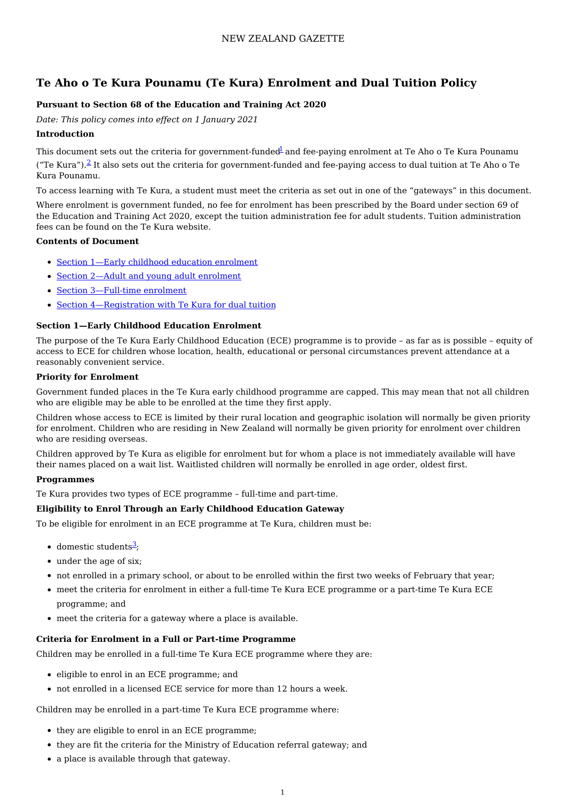# **Te Aho o Te Kura Pounamu (Te Kura) Enrolment and Dual Tuition Policy**

### **Pursuant to Section 68 of the Education and Training Act 2020**

*Date: This policy comes into effect on 1 January 2021*

### **Introduction**

This document sets out the criteria for government-funded<sup>[1](http://www.gazette.govt.nz/notice/id/2020-go5766/#Endnote1)</sup> and fee-paying enrolment at Te Aho o Te Kura Pounamu ("Te Kura").<sup>[2](http://www.gazette.govt.nz/notice/id/2020-go5766/#Endnote2)</sup> It also sets out the criteria for government-funded and fee-paying access to dual tuition at Te Aho o Te Kura Pounamu.

To access learning with Te Kura, a student must meet the criteria as set out in one of the "gateways" in this document.

Where enrolment is government funded, no fee for enrolment has been prescribed by the Board under section 69 of the Education and Training Act 2020, except the tuition administration fee for adult students. Tuition administration fees can be found on the Te Kura website.

### **Contents of Document**

- Section 1—Early childhood education [enrolment](http://www.gazette.govt.nz/notice/id/2020-go5766/#Section1)
- Section 2—Adult and young adult [enrolment](http://www.gazette.govt.nz/notice/id/2020-go5766/#Section2)
- Section 3-Full-time enrolment
- Section [4—Registration](http://www.gazette.govt.nz/notice/id/2020-go5766/#Section4) with Te Kura for dual tuition

### **Section 1—Early Childhood Education Enrolment**

The purpose of the Te Kura Early Childhood Education (ECE) programme is to provide – as far as is possible – equity of access to ECE for children whose location, health, educational or personal circumstances prevent attendance at a reasonably convenient service.

#### **Priority for Enrolment**

Government funded places in the Te Kura early childhood programme are capped. This may mean that not all children who are eligible may be able to be enrolled at the time they first apply.

Children whose access to ECE is limited by their rural location and geographic isolation will normally be given priority for enrolment. Children who are residing in New Zealand will normally be given priority for enrolment over children who are residing overseas.

Children approved by Te Kura as eligible for enrolment but for whom a place is not immediately available will have their names placed on a wait list. Waitlisted children will normally be enrolled in age order, oldest first.

#### **Programmes**

Te Kura provides two types of ECE programme – full-time and part-time.

#### **Eligibility to Enrol Through an Early Childhood Education Gateway**

To be eligible for enrolment in an ECE programme at Te Kura, children must be:

- $\bullet$  domestic students<sup>[3](http://www.gazette.govt.nz/notice/id/2020-go5766/#Endnote3)</sup>;
- under the age of six;
- not enrolled in a primary school, or about to be enrolled within the first two weeks of February that year;
- meet the criteria for enrolment in either a full-time Te Kura ECE programme or a part-time Te Kura ECE programme; and
- meet the criteria for a gateway where a place is available.

#### **Criteria for Enrolment in a Full or Part-time Programme**

Children may be enrolled in a full-time Te Kura ECE programme where they are:

- eligible to enrol in an ECE programme; and
- not enrolled in a licensed ECE service for more than 12 hours a week.

Children may be enrolled in a part-time Te Kura ECE programme where:

- they are eligible to enrol in an ECE programme;
- they are fit the criteria for the Ministry of Education referral gateway; and
- a place is available through that gateway.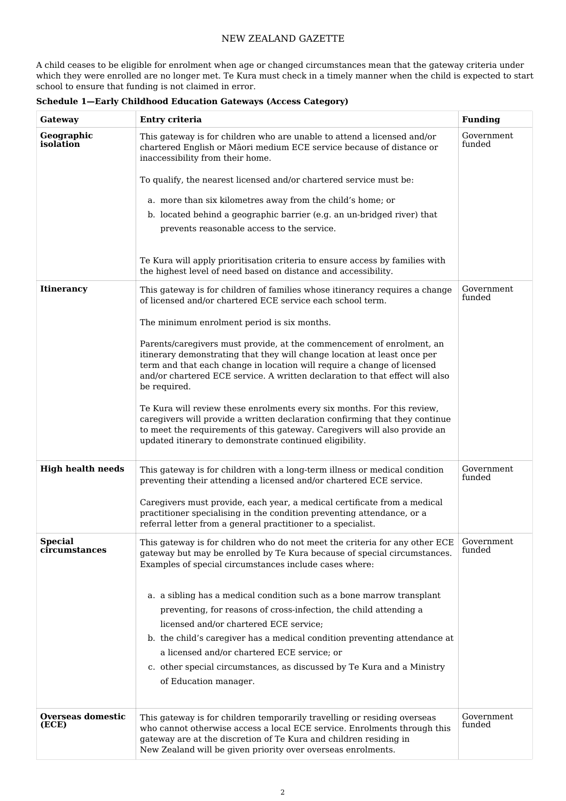A child ceases to be eligible for enrolment when age or changed circumstances mean that the gateway criteria under which they were enrolled are no longer met. Te Kura must check in a timely manner when the child is expected to start school to ensure that funding is not claimed in error.

| Gateway                         | Entry criteria                                                                                                                                                                                                                                                                                                               | <b>Funding</b>       |
|---------------------------------|------------------------------------------------------------------------------------------------------------------------------------------------------------------------------------------------------------------------------------------------------------------------------------------------------------------------------|----------------------|
| Geographic<br>isolation         | This gateway is for children who are unable to attend a licensed and/or<br>chartered English or Māori medium ECE service because of distance or<br>inaccessibility from their home.                                                                                                                                          | Government<br>funded |
|                                 | To qualify, the nearest licensed and/or chartered service must be:                                                                                                                                                                                                                                                           |                      |
|                                 | a. more than six kilometres away from the child's home; or                                                                                                                                                                                                                                                                   |                      |
|                                 | b. located behind a geographic barrier (e.g. an un-bridged river) that                                                                                                                                                                                                                                                       |                      |
|                                 | prevents reasonable access to the service.                                                                                                                                                                                                                                                                                   |                      |
|                                 | Te Kura will apply prioritisation criteria to ensure access by families with<br>the highest level of need based on distance and accessibility.                                                                                                                                                                               |                      |
| <b>Itinerancy</b>               | This gateway is for children of families whose itinerancy requires a change<br>of licensed and/or chartered ECE service each school term.                                                                                                                                                                                    | Government<br>funded |
|                                 | The minimum enrolment period is six months.                                                                                                                                                                                                                                                                                  |                      |
|                                 | Parents/caregivers must provide, at the commencement of enrolment, an<br>itinerary demonstrating that they will change location at least once per<br>term and that each change in location will require a change of licensed<br>and/or chartered ECE service. A written declaration to that effect will also<br>be required. |                      |
|                                 | Te Kura will review these enrolments every six months. For this review,<br>caregivers will provide a written declaration confirming that they continue<br>to meet the requirements of this gateway. Caregivers will also provide an<br>updated itinerary to demonstrate continued eligibility.                               |                      |
| <b>High health needs</b>        | This gateway is for children with a long-term illness or medical condition<br>preventing their attending a licensed and/or chartered ECE service.                                                                                                                                                                            | Government<br>funded |
|                                 | Caregivers must provide, each year, a medical certificate from a medical<br>practitioner specialising in the condition preventing attendance, or a<br>referral letter from a general practitioner to a specialist.                                                                                                           |                      |
| <b>Special</b><br>circumstances | This gateway is for children who do not meet the criteria for any other ECE<br>gateway but may be enrolled by Te Kura because of special circumstances.<br>Examples of special circumstances include cases where:                                                                                                            | Government<br>funded |
|                                 | a. a sibling has a medical condition such as a bone marrow transplant<br>preventing, for reasons of cross-infection, the child attending a<br>licensed and/or chartered ECE service;                                                                                                                                         |                      |
|                                 | b. the child's caregiver has a medical condition preventing attendance at                                                                                                                                                                                                                                                    |                      |
|                                 | a licensed and/or chartered ECE service; or<br>c. other special circumstances, as discussed by Te Kura and a Ministry                                                                                                                                                                                                        |                      |
|                                 | of Education manager.                                                                                                                                                                                                                                                                                                        |                      |
| Overseas domestic<br>(ECE)      | This gateway is for children temporarily travelling or residing overseas<br>who cannot otherwise access a local ECE service. Enrolments through this<br>gateway are at the discretion of Te Kura and children residing in<br>New Zealand will be given priority over overseas enrolments.                                    | Government<br>funded |

**Schedule 1—Early Childhood Education Gateways (Access Category)**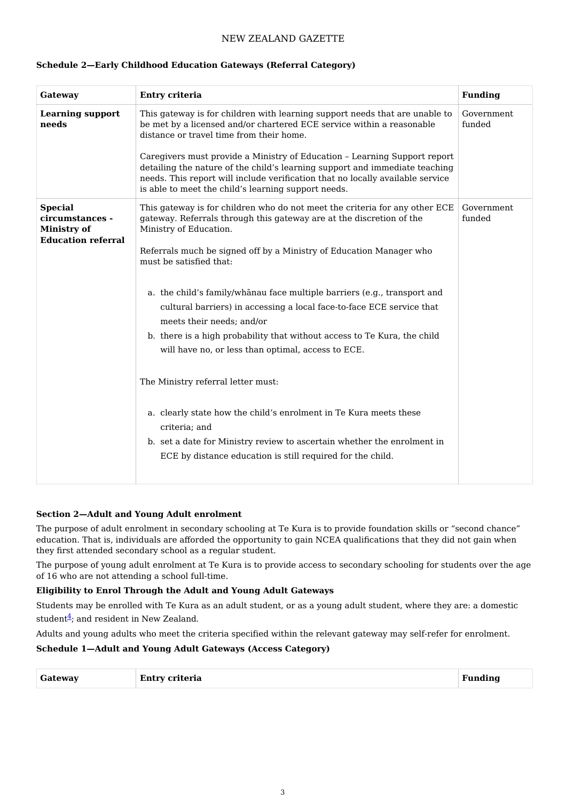| Gateway                                                                              | Entry criteria                                                                                                                                                                                                                                                                | <b>Funding</b>       |
|--------------------------------------------------------------------------------------|-------------------------------------------------------------------------------------------------------------------------------------------------------------------------------------------------------------------------------------------------------------------------------|----------------------|
| <b>Learning support</b><br>needs                                                     | This gateway is for children with learning support needs that are unable to<br>be met by a licensed and/or chartered ECE service within a reasonable<br>distance or travel time from their home.<br>Caregivers must provide a Ministry of Education - Learning Support report | Government<br>funded |
|                                                                                      | detailing the nature of the child's learning support and immediate teaching<br>needs. This report will include verification that no locally available service<br>is able to meet the child's learning support needs.                                                          |                      |
| <b>Special</b><br>circumstances -<br><b>Ministry of</b><br><b>Education referral</b> | This gateway is for children who do not meet the criteria for any other ECE<br>gateway. Referrals through this gateway are at the discretion of the<br>Ministry of Education.                                                                                                 | Government<br>funded |
|                                                                                      | Referrals much be signed off by a Ministry of Education Manager who<br>must be satisfied that:                                                                                                                                                                                |                      |
|                                                                                      | a. the child's family/whanau face multiple barriers (e.g., transport and<br>cultural barriers) in accessing a local face-to-face ECE service that<br>meets their needs; and/or                                                                                                |                      |
|                                                                                      | b. there is a high probability that without access to Te Kura, the child<br>will have no, or less than optimal, access to ECE.                                                                                                                                                |                      |
|                                                                                      | The Ministry referral letter must:                                                                                                                                                                                                                                            |                      |
|                                                                                      | a. clearly state how the child's enrolment in Te Kura meets these<br>criteria; and                                                                                                                                                                                            |                      |
|                                                                                      | b. set a date for Ministry review to ascertain whether the enrolment in<br>ECE by distance education is still required for the child.                                                                                                                                         |                      |

#### **Schedule 2—Early Childhood Education Gateways (Referral Category)**

### **Section 2—Adult and Young Adult enrolment**

The purpose of adult enrolment in secondary schooling at Te Kura is to provide foundation skills or "second chance" education. That is, individuals are afforded the opportunity to gain NCEA qualifications that they did not gain when they first attended secondary school as a regular student.

The purpose of young adult enrolment at Te Kura is to provide access to secondary schooling for students over the age of 16 who are not attending a school full-time.

### **Eligibility to Enrol Through the Adult and Young Adult Gateways**

Students may be enrolled with Te Kura as an adult student, or as a young adult student, where they are: a domestic student $\frac{4}{5}$  $\frac{4}{5}$  $\frac{4}{5}$ ; and resident in New Zealand.

Adults and young adults who meet the criteria specified within the relevant gateway may self-refer for enrolment.

### **Schedule 1—Adult and Young Adult Gateways (Access Category)**

| Gateway | Entry criteria<br>. | Funding |
|---------|---------------------|---------|
|         |                     |         |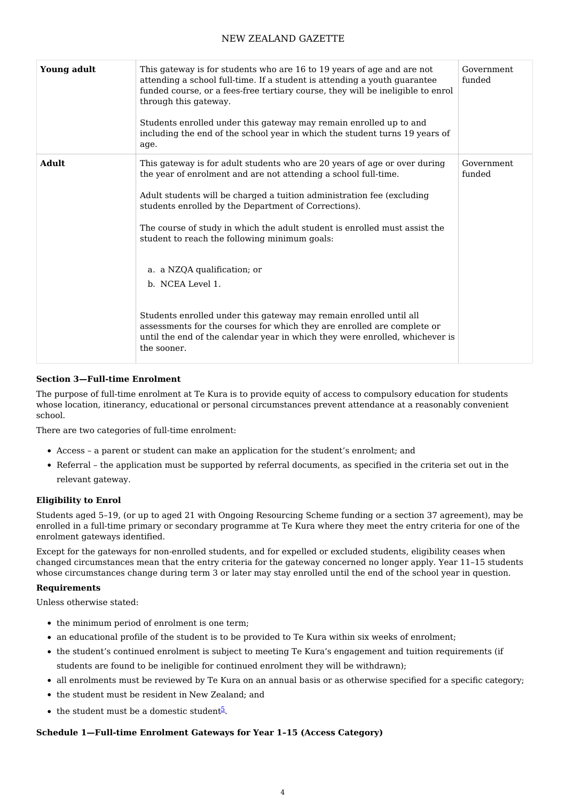| <b>Young adult</b> | This gateway is for students who are 16 to 19 years of age and are not<br>attending a school full-time. If a student is attending a youth guarantee<br>funded course, or a fees-free tertiary course, they will be ineligible to enrol<br>through this gateway.<br>Students enrolled under this gateway may remain enrolled up to and<br>including the end of the school year in which the student turns 19 years of<br>age.                                                                                                                                                                                                                                                                                     | Government<br>funded |
|--------------------|------------------------------------------------------------------------------------------------------------------------------------------------------------------------------------------------------------------------------------------------------------------------------------------------------------------------------------------------------------------------------------------------------------------------------------------------------------------------------------------------------------------------------------------------------------------------------------------------------------------------------------------------------------------------------------------------------------------|----------------------|
| <b>Adult</b>       | This gateway is for adult students who are 20 years of age or over during<br>the year of enrolment and are not attending a school full-time.<br>Adult students will be charged a tuition administration fee (excluding<br>students enrolled by the Department of Corrections).<br>The course of study in which the adult student is enrolled must assist the<br>student to reach the following minimum goals:<br>a. a NZQA qualification; or<br>b. NCEA Level 1.<br>Students enrolled under this gateway may remain enrolled until all<br>assessments for the courses for which they are enrolled are complete or<br>until the end of the calendar year in which they were enrolled, whichever is<br>the sooner. | Government<br>funded |

### **Section 3—Full-time Enrolment**

The purpose of full-time enrolment at Te Kura is to provide equity of access to compulsory education for students whose location, itinerancy, educational or personal circumstances prevent attendance at a reasonably convenient school.

There are two categories of full-time enrolment:

- Access a parent or student can make an application for the student's enrolment; and
- Referral the application must be supported by referral documents, as specified in the criteria set out in the relevant gateway.

#### **Eligibility to Enrol**

Students aged 5–19, (or up to aged 21 with Ongoing Resourcing Scheme funding or a section 37 agreement), may be enrolled in a full-time primary or secondary programme at Te Kura where they meet the entry criteria for one of the enrolment gateways identified.

Except for the gateways for non-enrolled students, and for expelled or excluded students, eligibility ceases when changed circumstances mean that the entry criteria for the gateway concerned no longer apply. Year 11–15 students whose circumstances change during term 3 or later may stay enrolled until the end of the school year in question.

#### **Requirements**

Unless otherwise stated:

- the minimum period of enrolment is one term;
- an educational profile of the student is to be provided to Te Kura within six weeks of enrolment;
- the student's continued enrolment is subject to meeting Te Kura's engagement and tuition requirements (if students are found to be ineligible for continued enrolment they will be withdrawn);
- all enrolments must be reviewed by Te Kura on an annual basis or as otherwise specified for a specific category;
- the student must be resident in New Zealand; and
- the student must be a domestic student<sup>[5](http://www.gazette.govt.nz/notice/id/2020-go5766/#Endnote5)</sup>.

#### **Schedule 1—Full-time Enrolment Gateways for Year 1–15 (Access Category)**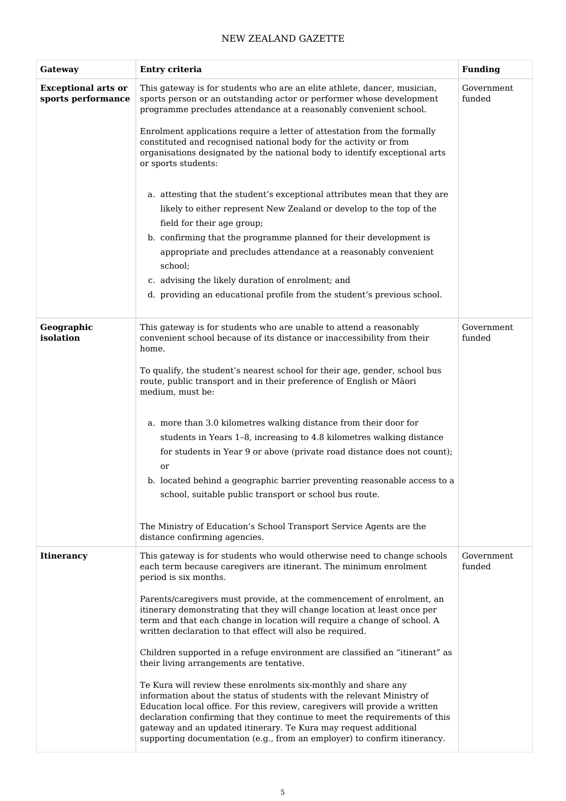| Gateway                                          | Entry criteria                                                                                                                                                                                                                                                                                                                                                                                                                                       | <b>Funding</b>       |
|--------------------------------------------------|------------------------------------------------------------------------------------------------------------------------------------------------------------------------------------------------------------------------------------------------------------------------------------------------------------------------------------------------------------------------------------------------------------------------------------------------------|----------------------|
| <b>Exceptional arts or</b><br>sports performance | This gateway is for students who are an elite athlete, dancer, musician,<br>sports person or an outstanding actor or performer whose development<br>programme precludes attendance at a reasonably convenient school.                                                                                                                                                                                                                                | Government<br>funded |
|                                                  | Enrolment applications require a letter of attestation from the formally<br>constituted and recognised national body for the activity or from<br>organisations designated by the national body to identify exceptional arts<br>or sports students:                                                                                                                                                                                                   |                      |
|                                                  | a. attesting that the student's exceptional attributes mean that they are<br>likely to either represent New Zealand or develop to the top of the                                                                                                                                                                                                                                                                                                     |                      |
|                                                  | field for their age group;                                                                                                                                                                                                                                                                                                                                                                                                                           |                      |
|                                                  | b. confirming that the programme planned for their development is                                                                                                                                                                                                                                                                                                                                                                                    |                      |
|                                                  | appropriate and precludes attendance at a reasonably convenient                                                                                                                                                                                                                                                                                                                                                                                      |                      |
|                                                  | school;                                                                                                                                                                                                                                                                                                                                                                                                                                              |                      |
|                                                  | c. advising the likely duration of enrolment; and                                                                                                                                                                                                                                                                                                                                                                                                    |                      |
|                                                  | d. providing an educational profile from the student's previous school.                                                                                                                                                                                                                                                                                                                                                                              |                      |
| Geographic<br>isolation                          | This gateway is for students who are unable to attend a reasonably<br>convenient school because of its distance or inaccessibility from their<br>home.                                                                                                                                                                                                                                                                                               | Government<br>funded |
|                                                  | To qualify, the student's nearest school for their age, gender, school bus<br>route, public transport and in their preference of English or Māori<br>medium, must be:                                                                                                                                                                                                                                                                                |                      |
|                                                  | a. more than 3.0 kilometres walking distance from their door for                                                                                                                                                                                                                                                                                                                                                                                     |                      |
|                                                  | students in Years 1-8, increasing to 4.8 kilometres walking distance                                                                                                                                                                                                                                                                                                                                                                                 |                      |
|                                                  | for students in Year 9 or above (private road distance does not count);                                                                                                                                                                                                                                                                                                                                                                              |                      |
|                                                  | or                                                                                                                                                                                                                                                                                                                                                                                                                                                   |                      |
|                                                  | b. located behind a geographic barrier preventing reasonable access to a                                                                                                                                                                                                                                                                                                                                                                             |                      |
|                                                  | school, suitable public transport or school bus route.                                                                                                                                                                                                                                                                                                                                                                                               |                      |
|                                                  | The Ministry of Education's School Transport Service Agents are the<br>distance confirming agencies.                                                                                                                                                                                                                                                                                                                                                 |                      |
| <b>Itinerancy</b>                                | This gateway is for students who would otherwise need to change schools<br>each term because caregivers are itinerant. The minimum enrolment<br>period is six months.                                                                                                                                                                                                                                                                                | Government<br>funded |
|                                                  | Parents/caregivers must provide, at the commencement of enrolment, an<br>itinerary demonstrating that they will change location at least once per<br>term and that each change in location will require a change of school. A<br>written declaration to that effect will also be required.                                                                                                                                                           |                      |
|                                                  | Children supported in a refuge environment are classified an "itinerant" as<br>their living arrangements are tentative.                                                                                                                                                                                                                                                                                                                              |                      |
|                                                  | Te Kura will review these enrolments six-monthly and share any<br>information about the status of students with the relevant Ministry of<br>Education local office. For this review, caregivers will provide a written<br>declaration confirming that they continue to meet the requirements of this<br>gateway and an updated itinerary. Te Kura may request additional<br>supporting documentation (e.g., from an employer) to confirm itinerancy. |                      |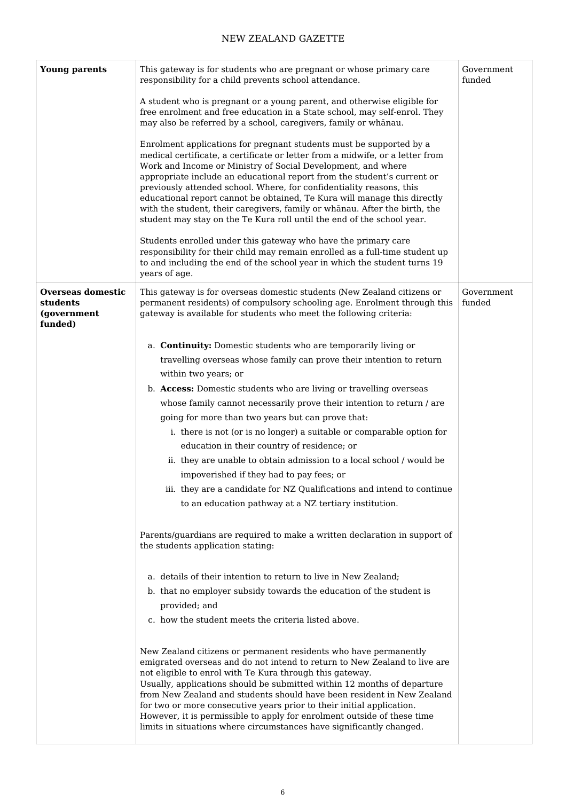| <b>Young parents</b>                                           | This gateway is for students who are pregnant or whose primary care<br>responsibility for a child prevents school attendance.                                                                                                                                                                                                                                                                                                                                                                                                                                                                               | Government<br>funded |
|----------------------------------------------------------------|-------------------------------------------------------------------------------------------------------------------------------------------------------------------------------------------------------------------------------------------------------------------------------------------------------------------------------------------------------------------------------------------------------------------------------------------------------------------------------------------------------------------------------------------------------------------------------------------------------------|----------------------|
|                                                                | A student who is pregnant or a young parent, and otherwise eligible for<br>free enrolment and free education in a State school, may self-enrol. They<br>may also be referred by a school, caregivers, family or whanau.                                                                                                                                                                                                                                                                                                                                                                                     |                      |
|                                                                | Enrolment applications for pregnant students must be supported by a<br>medical certificate, a certificate or letter from a midwife, or a letter from<br>Work and Income or Ministry of Social Development, and where<br>appropriate include an educational report from the student's current or<br>previously attended school. Where, for confidentiality reasons, this<br>educational report cannot be obtained, Te Kura will manage this directly<br>with the student, their caregivers, family or whanau. After the birth, the<br>student may stay on the Te Kura roll until the end of the school year. |                      |
|                                                                | Students enrolled under this gateway who have the primary care<br>responsibility for their child may remain enrolled as a full-time student up<br>to and including the end of the school year in which the student turns 19<br>years of age.                                                                                                                                                                                                                                                                                                                                                                |                      |
| <b>Overseas domestic</b><br>students<br>(government<br>funded) | This gateway is for overseas domestic students (New Zealand citizens or<br>permanent residents) of compulsory schooling age. Enrolment through this<br>gateway is available for students who meet the following criteria:                                                                                                                                                                                                                                                                                                                                                                                   | Government<br>funded |
|                                                                | a. Continuity: Domestic students who are temporarily living or                                                                                                                                                                                                                                                                                                                                                                                                                                                                                                                                              |                      |
|                                                                | travelling overseas whose family can prove their intention to return                                                                                                                                                                                                                                                                                                                                                                                                                                                                                                                                        |                      |
|                                                                | within two years; or                                                                                                                                                                                                                                                                                                                                                                                                                                                                                                                                                                                        |                      |
|                                                                | b. Access: Domestic students who are living or travelling overseas                                                                                                                                                                                                                                                                                                                                                                                                                                                                                                                                          |                      |
|                                                                | whose family cannot necessarily prove their intention to return / are                                                                                                                                                                                                                                                                                                                                                                                                                                                                                                                                       |                      |
|                                                                | going for more than two years but can prove that:                                                                                                                                                                                                                                                                                                                                                                                                                                                                                                                                                           |                      |
|                                                                | i. there is not (or is no longer) a suitable or comparable option for                                                                                                                                                                                                                                                                                                                                                                                                                                                                                                                                       |                      |
|                                                                | education in their country of residence; or                                                                                                                                                                                                                                                                                                                                                                                                                                                                                                                                                                 |                      |
|                                                                | ii. they are unable to obtain admission to a local school / would be                                                                                                                                                                                                                                                                                                                                                                                                                                                                                                                                        |                      |
|                                                                | impoverished if they had to pay fees; or                                                                                                                                                                                                                                                                                                                                                                                                                                                                                                                                                                    |                      |
|                                                                | iii. they are a candidate for NZ Qualifications and intend to continue                                                                                                                                                                                                                                                                                                                                                                                                                                                                                                                                      |                      |
|                                                                | to an education pathway at a NZ tertiary institution.                                                                                                                                                                                                                                                                                                                                                                                                                                                                                                                                                       |                      |
|                                                                | Parents/guardians are required to make a written declaration in support of<br>the students application stating:                                                                                                                                                                                                                                                                                                                                                                                                                                                                                             |                      |
|                                                                | a. details of their intention to return to live in New Zealand;                                                                                                                                                                                                                                                                                                                                                                                                                                                                                                                                             |                      |
|                                                                | b. that no employer subsidy towards the education of the student is                                                                                                                                                                                                                                                                                                                                                                                                                                                                                                                                         |                      |
|                                                                | provided; and                                                                                                                                                                                                                                                                                                                                                                                                                                                                                                                                                                                               |                      |
|                                                                | c. how the student meets the criteria listed above.                                                                                                                                                                                                                                                                                                                                                                                                                                                                                                                                                         |                      |
|                                                                | New Zealand citizens or permanent residents who have permanently<br>emigrated overseas and do not intend to return to New Zealand to live are<br>not eligible to enrol with Te Kura through this gateway.<br>Usually, applications should be submitted within 12 months of departure<br>from New Zealand and students should have been resident in New Zealand<br>for two or more consecutive years prior to their initial application.<br>However, it is permissible to apply for enrolment outside of these time                                                                                          |                      |
|                                                                | limits in situations where circumstances have significantly changed.                                                                                                                                                                                                                                                                                                                                                                                                                                                                                                                                        |                      |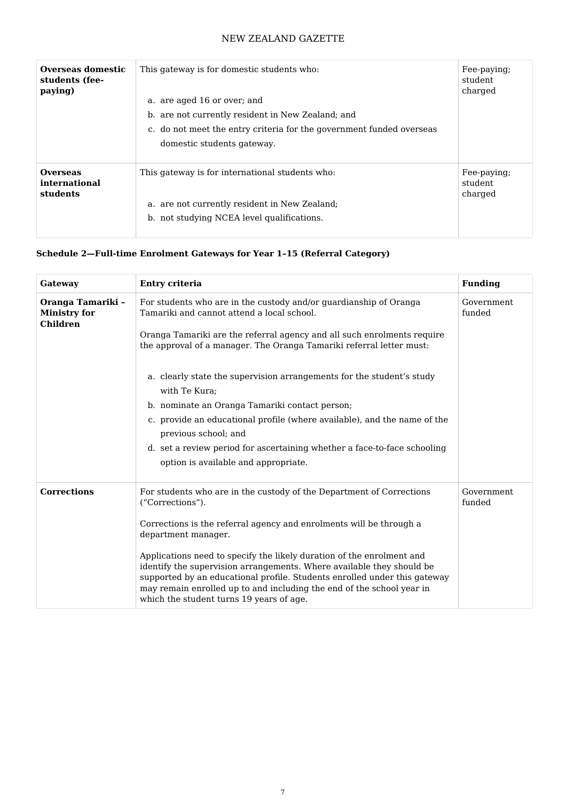| Overseas domestic<br>students (fee-<br>paying) | This gateway is for domestic students who:<br>a. are aged 16 or over; and<br>b. are not currently resident in New Zealand; and<br>c. do not meet the entry criteria for the government funded overseas<br>domestic students gateway. | Fee-paying;<br>student<br>charged |
|------------------------------------------------|--------------------------------------------------------------------------------------------------------------------------------------------------------------------------------------------------------------------------------------|-----------------------------------|
| <b>Overseas</b>                                | This gateway is for international students who:                                                                                                                                                                                      | Fee-paying;                       |
| international                                  | a. are not currently resident in New Zealand;                                                                                                                                                                                        | student                           |
| students                                       | b. not studying NCEA level qualifications.                                                                                                                                                                                           | charged                           |

### **Schedule 2—Full-time Enrolment Gateways for Year 1–15 (Referral Category)**

| Gateway                                                     | Entry criteria                                                                                                                                                                                                                                                                                                                                   | <b>Funding</b>       |
|-------------------------------------------------------------|--------------------------------------------------------------------------------------------------------------------------------------------------------------------------------------------------------------------------------------------------------------------------------------------------------------------------------------------------|----------------------|
| Oranga Tamariki -<br><b>Ministry for</b><br><b>Children</b> | For students who are in the custody and/or guardianship of Oranga<br>Tamariki and cannot attend a local school.                                                                                                                                                                                                                                  | Government<br>funded |
|                                                             | Oranga Tamariki are the referral agency and all such enrolments require<br>the approval of a manager. The Oranga Tamariki referral letter must:                                                                                                                                                                                                  |                      |
|                                                             | a. clearly state the supervision arrangements for the student's study<br>with Te Kura;                                                                                                                                                                                                                                                           |                      |
|                                                             | b. nominate an Oranga Tamariki contact person;                                                                                                                                                                                                                                                                                                   |                      |
|                                                             | c. provide an educational profile (where available), and the name of the<br>previous school; and                                                                                                                                                                                                                                                 |                      |
|                                                             | d. set a review period for ascertaining whether a face-to-face schooling<br>option is available and appropriate.                                                                                                                                                                                                                                 |                      |
|                                                             |                                                                                                                                                                                                                                                                                                                                                  |                      |
| <b>Corrections</b>                                          | For students who are in the custody of the Department of Corrections<br>("Corrections").                                                                                                                                                                                                                                                         | Government<br>funded |
|                                                             | Corrections is the referral agency and enrolments will be through a<br>department manager.                                                                                                                                                                                                                                                       |                      |
|                                                             | Applications need to specify the likely duration of the enrolment and<br>identify the supervision arrangements. Where available they should be<br>supported by an educational profile. Students enrolled under this gateway<br>may remain enrolled up to and including the end of the school year in<br>which the student turns 19 years of age. |                      |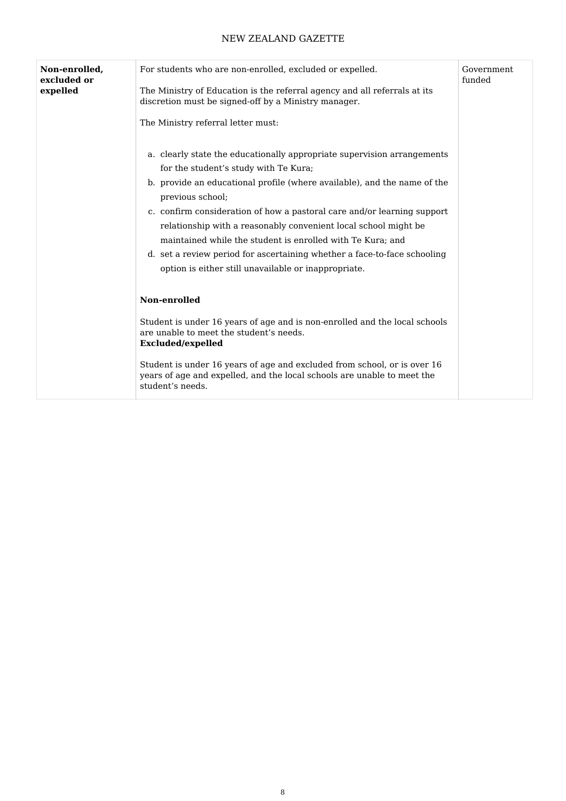| Non-enrolled,<br>excluded or<br>expelled | For students who are non-enrolled, excluded or expelled.<br>The Ministry of Education is the referral agency and all referrals at its<br>discretion must be signed-off by a Ministry manager.<br>The Ministry referral letter must:                                                                                                                                                                                                                                                                                                                              | Government<br>funded |
|------------------------------------------|------------------------------------------------------------------------------------------------------------------------------------------------------------------------------------------------------------------------------------------------------------------------------------------------------------------------------------------------------------------------------------------------------------------------------------------------------------------------------------------------------------------------------------------------------------------|----------------------|
|                                          | a. clearly state the educationally appropriate supervision arrangements<br>for the student's study with Te Kura;<br>b. provide an educational profile (where available), and the name of the<br>previous school;<br>c. confirm consideration of how a pastoral care and/or learning support<br>relationship with a reasonably convenient local school might be<br>maintained while the student is enrolled with Te Kura; and<br>d. set a review period for ascertaining whether a face-to-face schooling<br>option is either still unavailable or inappropriate. |                      |
|                                          | Non-enrolled<br>Student is under 16 years of age and is non-enrolled and the local schools<br>are unable to meet the student's needs.<br>Excluded/expelled<br>Student is under 16 years of age and excluded from school, or is over 16<br>years of age and expelled, and the local schools are unable to meet the<br>student's needs.                                                                                                                                                                                                                            |                      |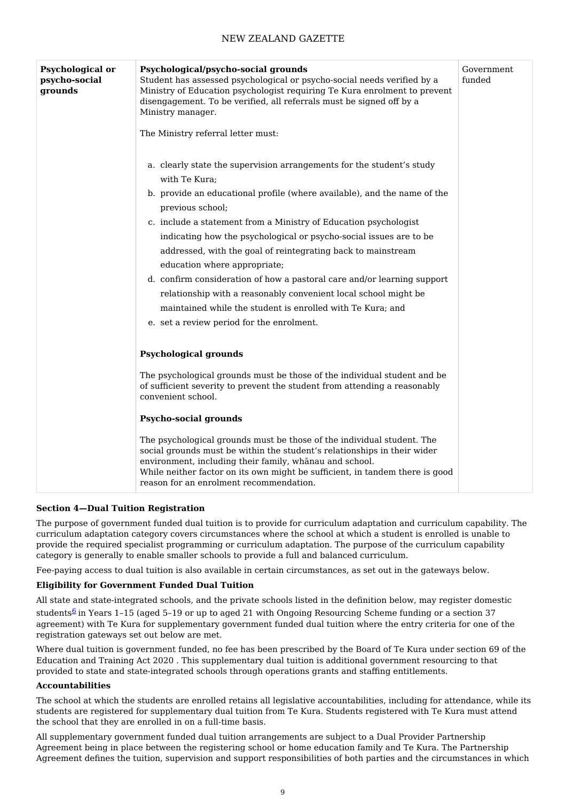| <b>Psychological or</b><br>psycho-social<br>grounds | Psychological/psycho-social grounds<br>Student has assessed psychological or psycho-social needs verified by a<br>Ministry of Education psychologist requiring Te Kura enrolment to prevent<br>disengagement. To be verified, all referrals must be signed off by a<br>Ministry manager.<br>The Ministry referral letter must:           | Government<br>funded |
|-----------------------------------------------------|------------------------------------------------------------------------------------------------------------------------------------------------------------------------------------------------------------------------------------------------------------------------------------------------------------------------------------------|----------------------|
|                                                     | a. clearly state the supervision arrangements for the student's study<br>with Te Kura;<br>b. provide an educational profile (where available), and the name of the                                                                                                                                                                       |                      |
|                                                     | previous school;<br>c. include a statement from a Ministry of Education psychologist<br>indicating how the psychological or psycho-social issues are to be<br>addressed, with the goal of reintegrating back to mainstream<br>education where appropriate;<br>d. confirm consideration of how a pastoral care and/or learning support    |                      |
|                                                     | relationship with a reasonably convenient local school might be<br>maintained while the student is enrolled with Te Kura; and<br>e. set a review period for the enrolment.                                                                                                                                                               |                      |
|                                                     | <b>Psychological grounds</b>                                                                                                                                                                                                                                                                                                             |                      |
|                                                     | The psychological grounds must be those of the individual student and be<br>of sufficient severity to prevent the student from attending a reasonably<br>convenient school.                                                                                                                                                              |                      |
|                                                     | <b>Psycho-social grounds</b>                                                                                                                                                                                                                                                                                                             |                      |
|                                                     | The psychological grounds must be those of the individual student. The<br>social grounds must be within the student's relationships in their wider<br>environment, including their family, whanau and school.<br>While neither factor on its own might be sufficient, in tandem there is good<br>reason for an enrolment recommendation. |                      |

### **Section 4—Dual Tuition Registration**

The purpose of government funded dual tuition is to provide for curriculum adaptation and curriculum capability. The curriculum adaptation category covers circumstances where the school at which a student is enrolled is unable to provide the required specialist programming or curriculum adaptation. The purpose of the curriculum capability category is generally to enable smaller schools to provide a full and balanced curriculum.

Fee-paying access to dual tuition is also available in certain circumstances, as set out in the gateways below.

#### **Eligibility for Government Funded Dual Tuition**

All state and state-integrated schools, and the private schools listed in the definition below, may register domestic

students<sup>[6](http://www.gazette.govt.nz/notice/id/2020-go5766/#Endnote6)</sup> in Years 1–15 (aged 5–19 or up to aged 21 with Ongoing Resourcing Scheme funding or a section 37 agreement) with Te Kura for supplementary government funded dual tuition where the entry criteria for one of the registration gateways set out below are met.

Where dual tuition is government funded, no fee has been prescribed by the Board of Te Kura under section 69 of the Education and Training Act 2020 . This supplementary dual tuition is additional government resourcing to that provided to state and state-integrated schools through operations grants and staffing entitlements.

#### **Accountabilities**

The school at which the students are enrolled retains all legislative accountabilities, including for attendance, while its students are registered for supplementary dual tuition from Te Kura. Students registered with Te Kura must attend the school that they are enrolled in on a full-time basis.

All supplementary government funded dual tuition arrangements are subject to a Dual Provider Partnership Agreement being in place between the registering school or home education family and Te Kura. The Partnership Agreement defines the tuition, supervision and support responsibilities of both parties and the circumstances in which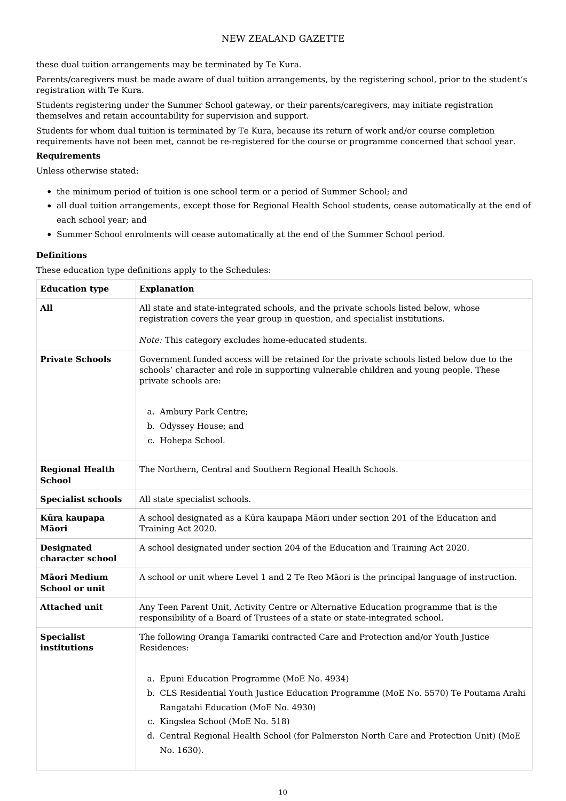these dual tuition arrangements may be terminated by Te Kura.

Parents/caregivers must be made aware of dual tuition arrangements, by the registering school, prior to the student's registration with Te Kura.

Students registering under the Summer School gateway, or their parents/caregivers, may initiate registration themselves and retain accountability for supervision and support.

Students for whom dual tuition is terminated by Te Kura, because its return of work and/or course completion requirements have not been met, cannot be re-registered for the course or programme concerned that school year.

#### **Requirements**

Unless otherwise stated:

- the minimum period of tuition is one school term or a period of Summer School; and
- all dual tuition arrangements, except those for Regional Health School students, cease automatically at the end of each school year; and
- Summer School enrolments will cease automatically at the end of the Summer School period.

#### **Definitions**

These education type definitions apply to the Schedules:

| <b>Education type</b>                   | <b>Explanation</b>                                                                                                                                                                                                                                                                                                    |
|-----------------------------------------|-----------------------------------------------------------------------------------------------------------------------------------------------------------------------------------------------------------------------------------------------------------------------------------------------------------------------|
| All                                     | All state and state-integrated schools, and the private schools listed below, whose<br>registration covers the year group in question, and specialist institutions.                                                                                                                                                   |
|                                         | Note: This category excludes home-educated students.                                                                                                                                                                                                                                                                  |
| <b>Private Schools</b>                  | Government funded access will be retained for the private schools listed below due to the<br>schools' character and role in supporting vulnerable children and young people. These<br>private schools are:<br>a. Ambury Park Centre;                                                                                  |
|                                         | b. Odyssey House; and                                                                                                                                                                                                                                                                                                 |
|                                         | c. Hohepa School.                                                                                                                                                                                                                                                                                                     |
| <b>Regional Health</b><br><b>School</b> | The Northern, Central and Southern Regional Health Schools.                                                                                                                                                                                                                                                           |
| <b>Specialist schools</b>               | All state specialist schools.                                                                                                                                                                                                                                                                                         |
| Kūra kaupapa<br>Māori                   | A school designated as a Kūra kaupapa Māori under section 201 of the Education and<br>Training Act 2020.                                                                                                                                                                                                              |
| <b>Designated</b><br>character school   | A school designated under section 204 of the Education and Training Act 2020.                                                                                                                                                                                                                                         |
| Māori Medium<br><b>School or unit</b>   | A school or unit where Level 1 and 2 Te Reo Māori is the principal language of instruction.                                                                                                                                                                                                                           |
| <b>Attached unit</b>                    | Any Teen Parent Unit, Activity Centre or Alternative Education programme that is the<br>responsibility of a Board of Trustees of a state or state-integrated school.                                                                                                                                                  |
| <b>Specialist</b><br>institutions       | The following Oranga Tamariki contracted Care and Protection and/or Youth Justice<br>Residences:                                                                                                                                                                                                                      |
|                                         | a. Epuni Education Programme (MoE No. 4934)<br>b. CLS Residential Youth Justice Education Programme (MoE No. 5570) Te Poutama Arahi<br>Rangatahi Education (MoE No. 4930)<br>c. Kingslea School (MoE No. 518)<br>d. Central Regional Health School (for Palmerston North Care and Protection Unit) (MoE<br>No. 1630). |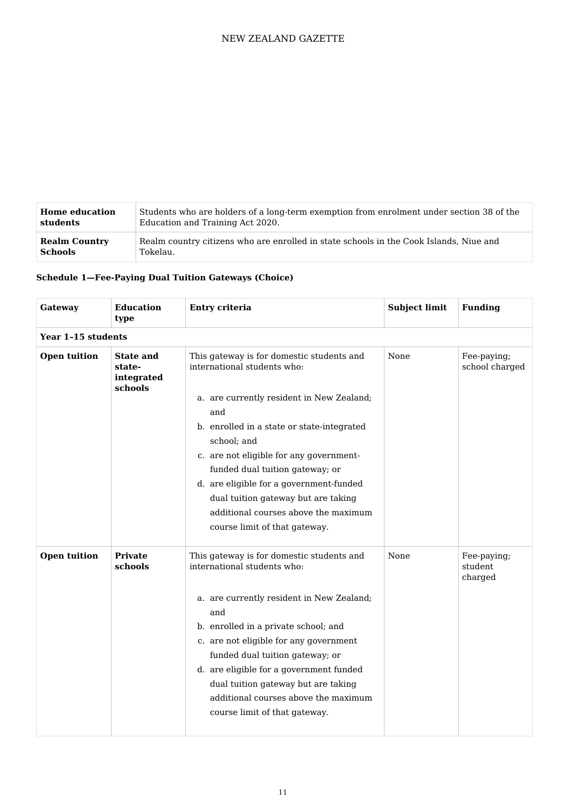| <b>Home education</b> | Students who are holders of a long-term exemption from enrolment under section 38 of the |
|-----------------------|------------------------------------------------------------------------------------------|
| students              | Education and Training Act 2020.                                                         |
| <b>Realm Country</b>  | Realm country citizens who are enrolled in state schools in the Cook Islands, Niue and   |
| <b>Schools</b>        | Tokelau.                                                                                 |

# **Schedule 1—Fee-Paying Dual Tuition Gateways (Choice)**

| Gateway             | <b>Education</b><br>type                            | Entry criteria                                                                                                                                                                                                                                                                                                                                                                                                                     | <b>Subject limit</b> | <b>Funding</b>                    |
|---------------------|-----------------------------------------------------|------------------------------------------------------------------------------------------------------------------------------------------------------------------------------------------------------------------------------------------------------------------------------------------------------------------------------------------------------------------------------------------------------------------------------------|----------------------|-----------------------------------|
| Year 1-15 students  |                                                     |                                                                                                                                                                                                                                                                                                                                                                                                                                    |                      |                                   |
| <b>Open tuition</b> | <b>State and</b><br>state-<br>integrated<br>schools | This gateway is for domestic students and<br>international students who:<br>a. are currently resident in New Zealand;<br>and<br>b. enrolled in a state or state-integrated<br>school; and<br>c. are not eligible for any government-<br>funded dual tuition gateway; or<br>d. are eligible for a government-funded<br>dual tuition gateway but are taking<br>additional courses above the maximum<br>course limit of that gateway. | None                 | Fee-paying;<br>school charged     |
| <b>Open tuition</b> | <b>Private</b><br>schools                           | This gateway is for domestic students and<br>international students who:<br>a. are currently resident in New Zealand;<br>and<br>b. enrolled in a private school; and<br>c. are not eligible for any government<br>funded dual tuition gateway; or<br>d. are eligible for a government funded<br>dual tuition gateway but are taking<br>additional courses above the maximum<br>course limit of that gateway.                       | None                 | Fee-paying;<br>student<br>charged |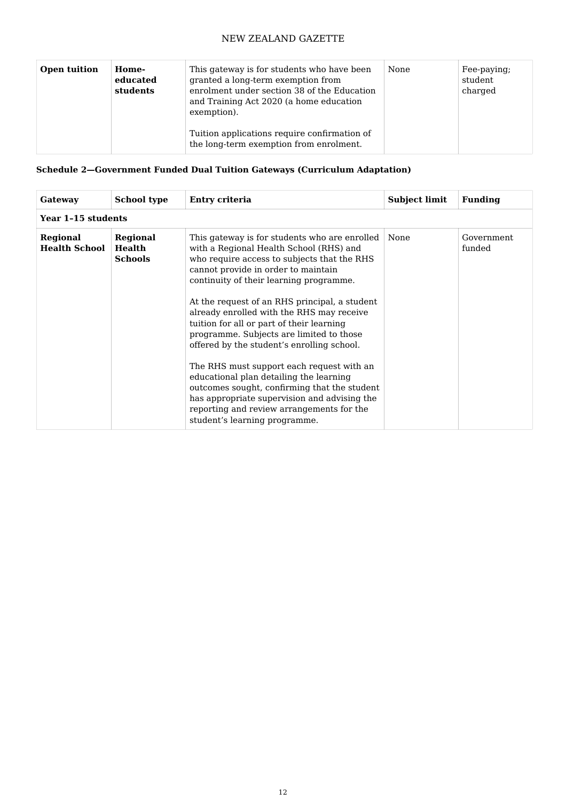| <b>Open tuition</b> | Home-<br>educated<br>students | This gateway is for students who have been<br>granted a long-term exemption from<br>enrolment under section 38 of the Education<br>and Training Act 2020 (a home education<br>exemption). | None | Fee-paying;<br>student<br>charged |
|---------------------|-------------------------------|-------------------------------------------------------------------------------------------------------------------------------------------------------------------------------------------|------|-----------------------------------|
|                     |                               | Tuition applications require confirmation of<br>the long-term exemption from enrolment.                                                                                                   |      |                                   |

# **Schedule 2—Government Funded Dual Tuition Gateways (Curriculum Adaptation)**

| Gateway                          | <b>School type</b>                                 | Entry criteria                                                                                                                                                                                                                                                                                                                                                                                                                                                                                                                                                                                                                                                                                                                       | <b>Subject limit</b> | <b>Funding</b>       |  |
|----------------------------------|----------------------------------------------------|--------------------------------------------------------------------------------------------------------------------------------------------------------------------------------------------------------------------------------------------------------------------------------------------------------------------------------------------------------------------------------------------------------------------------------------------------------------------------------------------------------------------------------------------------------------------------------------------------------------------------------------------------------------------------------------------------------------------------------------|----------------------|----------------------|--|
|                                  | Year 1-15 students                                 |                                                                                                                                                                                                                                                                                                                                                                                                                                                                                                                                                                                                                                                                                                                                      |                      |                      |  |
| Regional<br><b>Health School</b> | <b>Regional</b><br><b>Health</b><br><b>Schools</b> | This gateway is for students who are enrolled<br>with a Regional Health School (RHS) and<br>who require access to subjects that the RHS<br>cannot provide in order to maintain<br>continuity of their learning programme.<br>At the request of an RHS principal, a student<br>already enrolled with the RHS may receive<br>tuition for all or part of their learning<br>programme. Subjects are limited to those<br>offered by the student's enrolling school.<br>The RHS must support each request with an<br>educational plan detailing the learning<br>outcomes sought, confirming that the student<br>has appropriate supervision and advising the<br>reporting and review arrangements for the<br>student's learning programme. | None                 | Government<br>funded |  |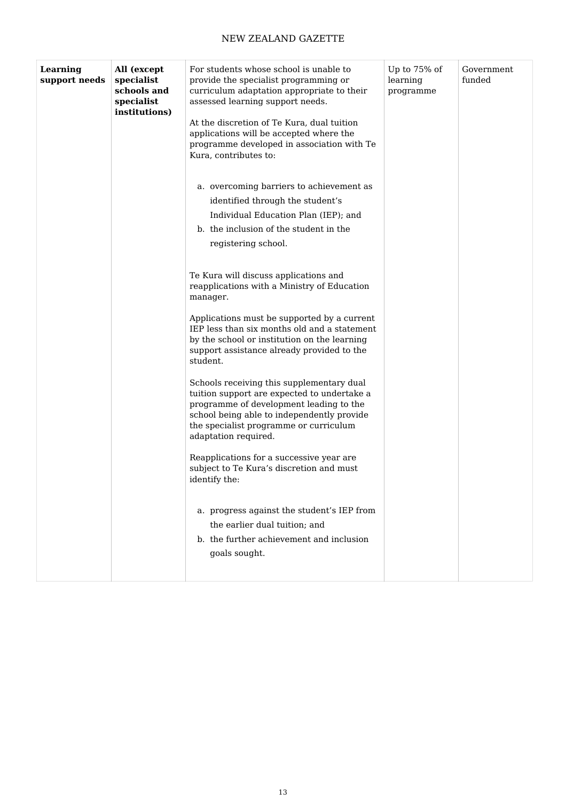| Learning      | All (except                                              | For students whose school is unable to                                                                                                                                                                                                                                                  | Up to 75% of          | Government |
|---------------|----------------------------------------------------------|-----------------------------------------------------------------------------------------------------------------------------------------------------------------------------------------------------------------------------------------------------------------------------------------|-----------------------|------------|
| support needs | specialist<br>schools and<br>specialist<br>institutions) | provide the specialist programming or<br>curriculum adaptation appropriate to their<br>assessed learning support needs.<br>At the discretion of Te Kura, dual tuition<br>applications will be accepted where the<br>programme developed in association with Te<br>Kura, contributes to: | learning<br>programme | funded     |
|               |                                                          | a. overcoming barriers to achievement as<br>identified through the student's<br>Individual Education Plan (IEP); and<br>b. the inclusion of the student in the<br>registering school.                                                                                                   |                       |            |
|               |                                                          | Te Kura will discuss applications and<br>reapplications with a Ministry of Education<br>manager.                                                                                                                                                                                        |                       |            |
|               |                                                          | Applications must be supported by a current<br>IEP less than six months old and a statement<br>by the school or institution on the learning<br>support assistance already provided to the<br>student.                                                                                   |                       |            |
|               |                                                          | Schools receiving this supplementary dual<br>tuition support are expected to undertake a<br>programme of development leading to the<br>school being able to independently provide<br>the specialist programme or curriculum<br>adaptation required.                                     |                       |            |
|               |                                                          | Reapplications for a successive year are<br>subject to Te Kura's discretion and must<br>identify the:                                                                                                                                                                                   |                       |            |
|               |                                                          | a. progress against the student's IEP from<br>the earlier dual tuition; and<br>b. the further achievement and inclusion<br>goals sought.                                                                                                                                                |                       |            |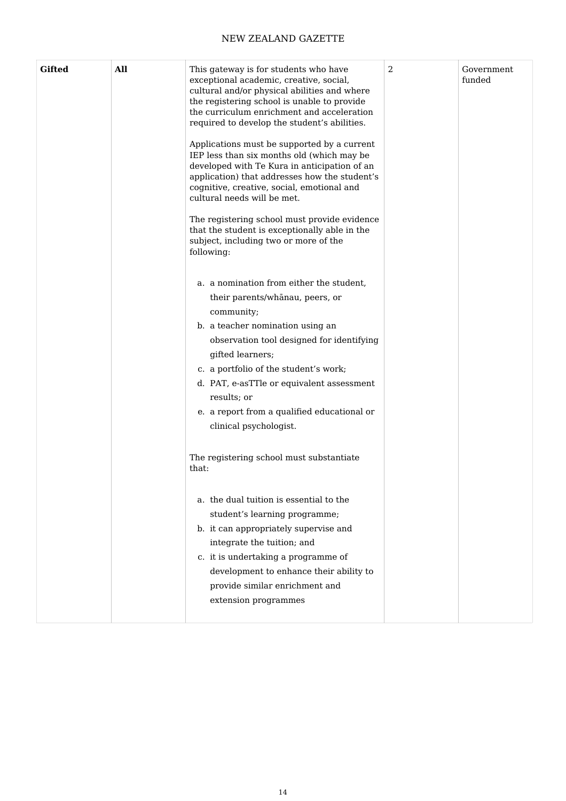| <b>Gifted</b> | All | This gateway is for students who have<br>exceptional academic, creative, social,<br>cultural and/or physical abilities and where<br>the registering school is unable to provide<br>the curriculum enrichment and acceleration<br>required to develop the student's abilities.<br>Applications must be supported by a current<br>IEP less than six months old (which may be<br>developed with Te Kura in anticipation of an<br>application) that addresses how the student's<br>cognitive, creative, social, emotional and<br>cultural needs will be met.<br>The registering school must provide evidence<br>that the student is exceptionally able in the<br>subject, including two or more of the<br>following:<br>a. a nomination from either the student,<br>their parents/whānau, peers, or<br>community;<br>b. a teacher nomination using an<br>observation tool designed for identifying<br>gifted learners;<br>c. a portfolio of the student's work;<br>d. PAT, e-asTTle or equivalent assessment<br>results; or<br>e. a report from a qualified educational or<br>clinical psychologist. | 2 | Government<br>funded |
|---------------|-----|--------------------------------------------------------------------------------------------------------------------------------------------------------------------------------------------------------------------------------------------------------------------------------------------------------------------------------------------------------------------------------------------------------------------------------------------------------------------------------------------------------------------------------------------------------------------------------------------------------------------------------------------------------------------------------------------------------------------------------------------------------------------------------------------------------------------------------------------------------------------------------------------------------------------------------------------------------------------------------------------------------------------------------------------------------------------------------------------------|---|----------------------|
|               |     | The registering school must substantiate<br>that:<br>a. the dual tuition is essential to the<br>student's learning programme;<br>b. it can appropriately supervise and<br>integrate the tuition; and<br>c. it is undertaking a programme of<br>development to enhance their ability to<br>provide similar enrichment and                                                                                                                                                                                                                                                                                                                                                                                                                                                                                                                                                                                                                                                                                                                                                                         |   |                      |
|               |     | extension programmes                                                                                                                                                                                                                                                                                                                                                                                                                                                                                                                                                                                                                                                                                                                                                                                                                                                                                                                                                                                                                                                                             |   |                      |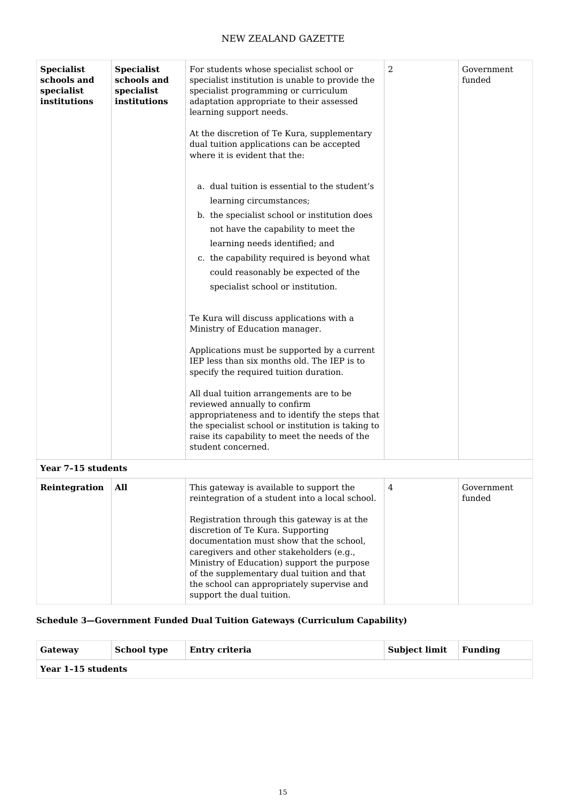| <b>Specialist</b><br>schools and<br>specialist<br>institutions | <b>Specialist</b><br>schools and<br>specialist<br>institutions | For students whose specialist school or<br>specialist institution is unable to provide the<br>specialist programming or curriculum<br>adaptation appropriate to their assessed<br>learning support needs.<br>At the discretion of Te Kura, supplementary<br>dual tuition applications can be accepted<br>where it is evident that the:                                                                                                                                      | 2 | Government<br>funded |
|----------------------------------------------------------------|----------------------------------------------------------------|-----------------------------------------------------------------------------------------------------------------------------------------------------------------------------------------------------------------------------------------------------------------------------------------------------------------------------------------------------------------------------------------------------------------------------------------------------------------------------|---|----------------------|
|                                                                |                                                                | a. dual tuition is essential to the student's                                                                                                                                                                                                                                                                                                                                                                                                                               |   |                      |
|                                                                |                                                                | learning circumstances;                                                                                                                                                                                                                                                                                                                                                                                                                                                     |   |                      |
|                                                                |                                                                | b. the specialist school or institution does                                                                                                                                                                                                                                                                                                                                                                                                                                |   |                      |
|                                                                |                                                                | not have the capability to meet the                                                                                                                                                                                                                                                                                                                                                                                                                                         |   |                      |
|                                                                |                                                                | learning needs identified; and                                                                                                                                                                                                                                                                                                                                                                                                                                              |   |                      |
|                                                                |                                                                | c. the capability required is beyond what                                                                                                                                                                                                                                                                                                                                                                                                                                   |   |                      |
|                                                                |                                                                | could reasonably be expected of the                                                                                                                                                                                                                                                                                                                                                                                                                                         |   |                      |
|                                                                |                                                                | specialist school or institution.                                                                                                                                                                                                                                                                                                                                                                                                                                           |   |                      |
|                                                                |                                                                | Te Kura will discuss applications with a<br>Ministry of Education manager.<br>Applications must be supported by a current<br>IEP less than six months old. The IEP is to<br>specify the required tuition duration.<br>All dual tuition arrangements are to be<br>reviewed annually to confirm<br>appropriateness and to identify the steps that<br>the specialist school or institution is taking to<br>raise its capability to meet the needs of the<br>student concerned. |   |                      |
| Year 7-15 students                                             |                                                                |                                                                                                                                                                                                                                                                                                                                                                                                                                                                             |   |                      |
| Reintegration                                                  | All                                                            | This gateway is available to support the<br>reintegration of a student into a local school.<br>Registration through this gateway is at the<br>discretion of Te Kura. Supporting<br>documentation must show that the school,<br>caregivers and other stakeholders (e.g.,<br>Ministry of Education) support the purpose<br>of the supplementary dual tuition and that<br>the school can appropriately supervise and<br>support the dual tuition.                              | 4 | Government<br>funded |

# **Schedule 3—Government Funded Dual Tuition Gateways (Curriculum Capability)**

| Gateway            | <b>School type</b> | Entry criteria | <b>Subject limit</b> | Fundina |
|--------------------|--------------------|----------------|----------------------|---------|
| Year 1-15 students |                    |                |                      |         |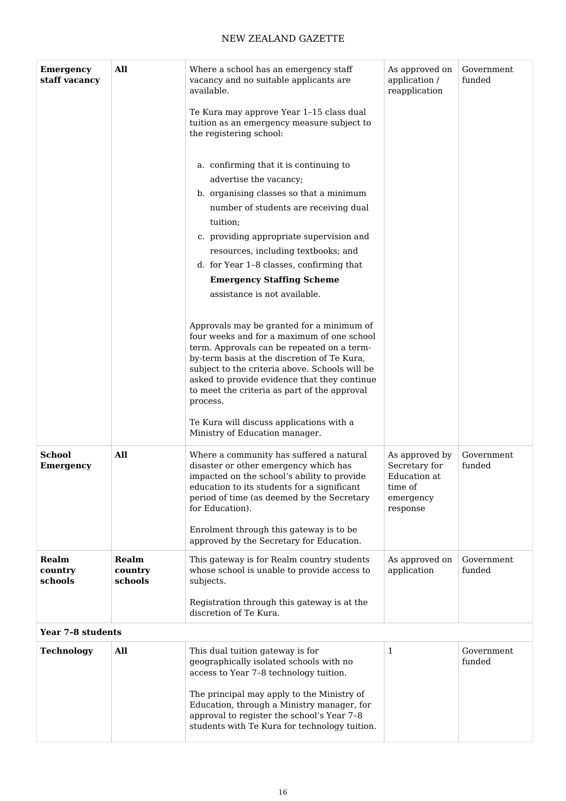| <b>Emergency</b><br>staff vacancy | All                         | Where a school has an emergency staff<br>vacancy and no suitable applicants are<br>available.                                                                                                                                                                                                                                                                                      | As approved on<br>application /<br>reapplication                                    | Government<br>funded |
|-----------------------------------|-----------------------------|------------------------------------------------------------------------------------------------------------------------------------------------------------------------------------------------------------------------------------------------------------------------------------------------------------------------------------------------------------------------------------|-------------------------------------------------------------------------------------|----------------------|
|                                   |                             | Te Kura may approve Year 1-15 class dual<br>tuition as an emergency measure subject to<br>the registering school:                                                                                                                                                                                                                                                                  |                                                                                     |                      |
|                                   |                             | a. confirming that it is continuing to<br>advertise the vacancy;<br>b. organising classes so that a minimum<br>number of students are receiving dual<br>tuition;<br>c. providing appropriate supervision and<br>resources, including textbooks; and<br>d. for Year 1-8 classes, confirming that<br><b>Emergency Staffing Scheme</b>                                                |                                                                                     |                      |
|                                   |                             | assistance is not available.<br>Approvals may be granted for a minimum of<br>four weeks and for a maximum of one school<br>term. Approvals can be repeated on a term-<br>by-term basis at the discretion of Te Kura,<br>subject to the criteria above. Schools will be<br>asked to provide evidence that they continue<br>to meet the criteria as part of the approval<br>process. |                                                                                     |                      |
|                                   |                             | Te Kura will discuss applications with a<br>Ministry of Education manager.                                                                                                                                                                                                                                                                                                         |                                                                                     |                      |
| <b>School</b><br><b>Emergency</b> | All                         | Where a community has suffered a natural<br>disaster or other emergency which has<br>impacted on the school's ability to provide<br>education to its students for a significant<br>period of time (as deemed by the Secretary<br>for Education).<br>Enrolment through this gateway is to be                                                                                        | As approved by<br>Secretary for<br>Education at<br>time of<br>emergency<br>response | Government<br>funded |
| Realm<br>country<br>schools       | Realm<br>country<br>schools | approved by the Secretary for Education.<br>This gateway is for Realm country students<br>whose school is unable to provide access to<br>subjects.                                                                                                                                                                                                                                 | As approved on<br>application                                                       | Government<br>funded |
|                                   |                             | Registration through this gateway is at the<br>discretion of Te Kura.                                                                                                                                                                                                                                                                                                              |                                                                                     |                      |
| Year 7-8 students                 |                             |                                                                                                                                                                                                                                                                                                                                                                                    |                                                                                     |                      |
| <b>Technology</b>                 | All                         | This dual tuition gateway is for<br>geographically isolated schools with no<br>access to Year 7-8 technology tuition.<br>The principal may apply to the Ministry of                                                                                                                                                                                                                | 1                                                                                   | Government<br>funded |
|                                   |                             | Education, through a Ministry manager, for<br>approval to register the school's Year 7-8<br>students with Te Kura for technology tuition.                                                                                                                                                                                                                                          |                                                                                     |                      |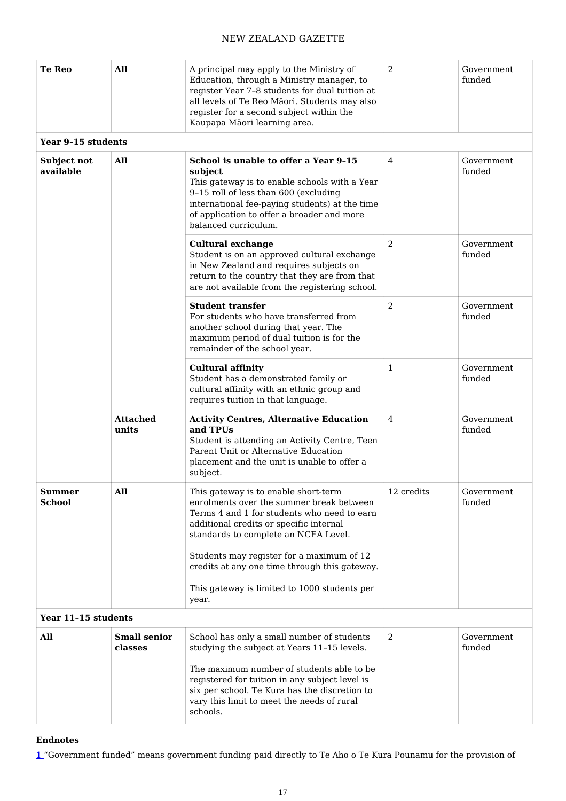| <b>Te Reo</b>                  | All                            | A principal may apply to the Ministry of<br>Education, through a Ministry manager, to<br>register Year 7-8 students for dual tuition at<br>all levels of Te Reo Māori. Students may also<br>register for a second subject within the<br>Kaupapa Māori learning area. | 2              | Government<br>funded |  |  |  |
|--------------------------------|--------------------------------|----------------------------------------------------------------------------------------------------------------------------------------------------------------------------------------------------------------------------------------------------------------------|----------------|----------------------|--|--|--|
|                                | Year 9-15 students             |                                                                                                                                                                                                                                                                      |                |                      |  |  |  |
| Subject not<br>available       | All                            | School is unable to offer a Year 9-15<br>subject<br>This gateway is to enable schools with a Year<br>9-15 roll of less than 600 (excluding<br>international fee-paying students) at the time<br>of application to offer a broader and more<br>balanced curriculum.   | 4              | Government<br>funded |  |  |  |
|                                |                                | <b>Cultural exchange</b><br>Student is on an approved cultural exchange<br>in New Zealand and requires subjects on<br>return to the country that they are from that<br>are not available from the registering school.                                                | 2              | Government<br>funded |  |  |  |
|                                |                                | <b>Student transfer</b><br>For students who have transferred from<br>another school during that year. The<br>maximum period of dual tuition is for the<br>remainder of the school year.                                                                              | $\overline{2}$ | Government<br>funded |  |  |  |
|                                |                                | <b>Cultural affinity</b><br>Student has a demonstrated family or<br>cultural affinity with an ethnic group and<br>requires tuition in that language.                                                                                                                 | $\mathbf{1}$   | Government<br>funded |  |  |  |
|                                | <b>Attached</b><br>units       | <b>Activity Centres, Alternative Education</b><br>and TPUs<br>Student is attending an Activity Centre, Teen<br>Parent Unit or Alternative Education<br>placement and the unit is unable to offer a<br>subject.                                                       | 4              | Government<br>funded |  |  |  |
| <b>Summer</b><br><b>School</b> | All                            | This gateway is to enable short-term<br>enrolments over the summer break between<br>Terms 4 and 1 for students who need to earn<br>additional credits or specific internal<br>standards to complete an NCEA Level.                                                   | 12 credits     | Government<br>funded |  |  |  |
|                                |                                | Students may register for a maximum of 12<br>credits at any one time through this gateway.                                                                                                                                                                           |                |                      |  |  |  |
|                                |                                | This gateway is limited to 1000 students per<br>year.                                                                                                                                                                                                                |                |                      |  |  |  |
| Year 11-15 students            |                                |                                                                                                                                                                                                                                                                      |                |                      |  |  |  |
| All                            | <b>Small senior</b><br>classes | School has only a small number of students<br>studying the subject at Years 11-15 levels.                                                                                                                                                                            | $\overline{2}$ | Government<br>funded |  |  |  |
|                                |                                | The maximum number of students able to be<br>registered for tuition in any subject level is<br>six per school. Te Kura has the discretion to<br>vary this limit to meet the needs of rural<br>schools.                                                               |                |                      |  |  |  |

#### **Endnotes**

[1](http://www.gazette.govt.nz/notice/id/2020-go5766/#Return1) "Government funded" means government funding paid directly to Te Aho o Te Kura Pounamu for the provision of